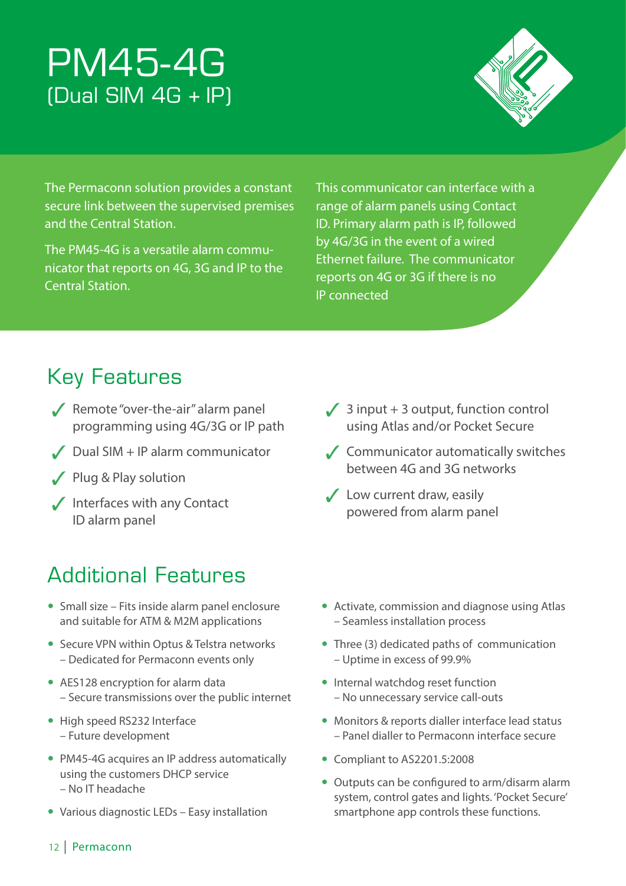# PM45-4G  $(Dual SIM 4G + IP)$



The Permaconn solution provides a constant secure link between the supervised premises and the Central Station.

The PM45-4G is a versatile alarm communicator that reports on 4G, 3G and IP to the Central Station.

This communicator can interface with a range of alarm panels using Contact ID. Primary alarm path is IP, followed by 4G/3G in the event of a wired Ethernet failure. The communicator reports on 4G or 3G if there is no IP connected

#### Key Features

- ✓ Remote "over-the-air" alarm panel programming using 4G/3G or IP path
- $\angle$  Dual SIM + IP alarm communicator
- ✓ Plug & Play solution
- ✓ Interfaces with any Contact ID alarm panel

### Additional Features

- Small size Fits inside alarm panel enclosure and suitable for ATM & M2M applications
- Secure VPN within Optus & Telstra networks – Dedicated for Permaconn events only
- AES128 encryption for alarm data – Secure transmissions over the public internet
- High speed RS232 Interface – Future development
- PM45-4G acquires an IP address automatically using the customers DHCP service – No IT headache
- Various diagnostic LEDs Easy installation
- $\angle$  3 input + 3 output, function control using Atlas and/or Pocket Secure
- ✓ Communicator automatically switches between 4G and 3G networks
- ✓ Low current draw, easily powered from alarm panel
- Activate, commission and diagnose using Atlas – Seamless installation process
- Three (3) dedicated paths of communication – Uptime in excess of 99.9%
- Internal watchdog reset function – No unnecessary service call-outs
- Monitors & reports dialler interface lead status – Panel dialler to Permaconn interface secure
- Compliant to AS2201.5:2008
- Outputs can be configured to arm/disarm alarm system, control gates and lights. 'Pocket Secure' smartphone app controls these functions.

12 | Permaconn